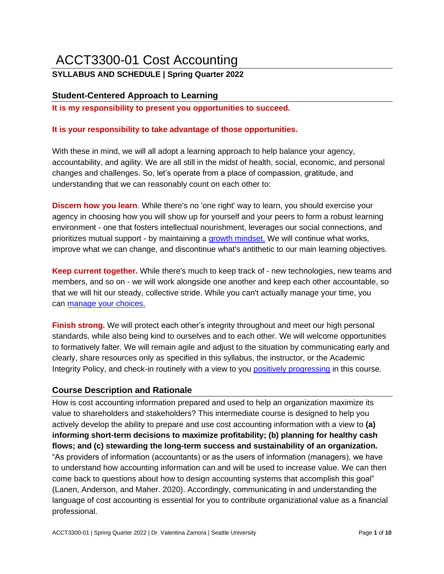# ACCT3300-01 Cost Accounting

# **SYLLABUS AND SCHEDULE | Spring Quarter 2022**

# **Student-Centered Approach to Learning**

**It is my responsibility to present you opportunities to succeed.** 

## **It is your responsibility to take advantage of those opportunities.**

With these in mind, we will all adopt a learning approach to help balance your agency, accountability, and agility. We are all still in the midst of health, social, economic, and personal changes and challenges. So, let's operate from a place of compassion, gratitude, and understanding that we can reasonably count on each other to:

**Discern how you learn**. While there's no 'one right' way to learn, you should exercise your agency in choosing how you will show up for yourself and your peers to form a robust learning environment - one that fosters intellectual nourishment, leverages our social connections, and prioritizes mutual support - by maintaining a [growth mindset.](https://www.youtube.com/watch?v=5e4smtpKcuI#action=share) We will continue what works, improve what we can change, and discontinue what's antithetic to our main learning objectives.

**Keep current together.** While there's much to keep track of - new technologies, new teams and members, and so on - we will work alongside one another and keep each other accountable, so that we will hit our steady, collective stride. While you can't actually manage your time, you can [manage your choices.](https://www.cnbc.com/2019/04/02/whartons-adam-grant-how-to-do-attention-management-for-productivity.html)

**Finish strong.** We will protect each other's integrity throughout and meet our high personal standards, while also being kind to ourselves and to each other. We will welcome opportunities to formatively falter. We will remain agile and adjust to the situation by communicating early and clearly, share resources only as specified in this syllabus, the instructor, or the Academic Integrity Policy, and check-in routinely with a view to you [positively progressing](https://www.youtube.com/watch?v=W4M_6ARHyUQ) in this course.

# **Course Description and Rationale**

How is cost accounting information prepared and used to help an organization maximize its value to shareholders and stakeholders? This intermediate course is designed to help you actively develop the ability to prepare and use cost accounting information with a view to **(a) informing short-term decisions to maximize profitability; (b) planning for healthy cash flows; and (c) stewarding the long-term success and sustainability of an organization.** "As providers of information (accountants) or as the users of information (managers), we have to understand how accounting information can and will be used to increase value. We can then come back to questions about how to design accounting systems that accomplish this goal" (Lanen, Anderson, and Maher. 2020). Accordingly, communicating in and understanding the language of cost accounting is essential for you to contribute organizational value as a financial professional.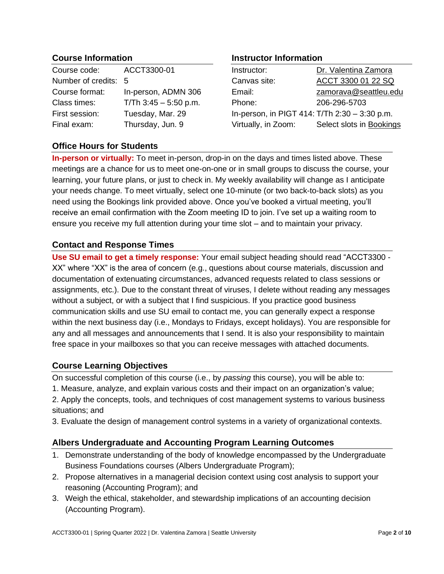# **Course Information**

| Course code:         | ACCT3300-01             |
|----------------------|-------------------------|
| Number of credits: 5 |                         |
| Course format:       | In-person, ADMN 306     |
| Class times:         | T/Th $3:45 - 5:50$ p.m. |
| First session:       | Tuesday, Mar. 29        |
| Final exam:          | Thursday, Jun. 9        |

# **Office Hours for Students**

# **Instructor Information**

| Instructor:                                   | Dr. Valentina Zamora     |
|-----------------------------------------------|--------------------------|
| Canvas site:                                  | ACCT 3300 01 22 SQ       |
| Email:                                        | zamorava@seattleu.edu    |
| Phone:                                        | 206-296-5703             |
| In-person, in PIGT 414: T/Th 2:30 - 3:30 p.m. |                          |
| Virtually, in Zoom:                           | Select slots in Bookings |

**In-person or virtually:** To meet in-person, drop-in on the days and times listed above. These meetings are a chance for us to meet one-on-one or in small groups to discuss the course, your learning, your future plans, or just to check in. My weekly availability will change as I anticipate your needs change. To meet virtually, select one 10-minute (or two back-to-back slots) as you need using the Bookings link provided above. Once you've booked a virtual meeting, you'll receive an email confirmation with the Zoom meeting ID to join. I've set up a waiting room to ensure you receive my full attention during your time slot – and to maintain your privacy.

# **Contact and Response Times**

**Use SU email to get a timely response:** Your email subject heading should read "ACCT3300 - XX" where "XX" is the area of concern (e.g., questions about course materials, discussion and documentation of extenuating circumstances, advanced requests related to class sessions or assignments, etc.). Due to the constant threat of viruses, I delete without reading any messages without a subject, or with a subject that I find suspicious. If you practice good business communication skills and use SU email to contact me, you can generally expect a response within the next business day (i.e., Mondays to Fridays, except holidays). You are responsible for any and all messages and announcements that I send. It is also your responsibility to maintain free space in your mailboxes so that you can receive messages with attached documents.

# **Course Learning Objectives**

On successful completion of this course (i.e., by *passing* this course), you will be able to:

1. Measure, analyze, and explain various costs and their impact on an organization's value;

2. Apply the concepts, tools, and techniques of cost management systems to various business situations; and

3. Evaluate the design of management control systems in a variety of organizational contexts.

# **Albers Undergraduate and Accounting Program Learning Outcomes**

- 1. Demonstrate understanding of the body of knowledge encompassed by the Undergraduate Business Foundations courses (Albers Undergraduate Program);
- 2. Propose alternatives in a managerial decision context using cost analysis to support your reasoning (Accounting Program); and
- 3. Weigh the ethical, stakeholder, and stewardship implications of an accounting decision (Accounting Program).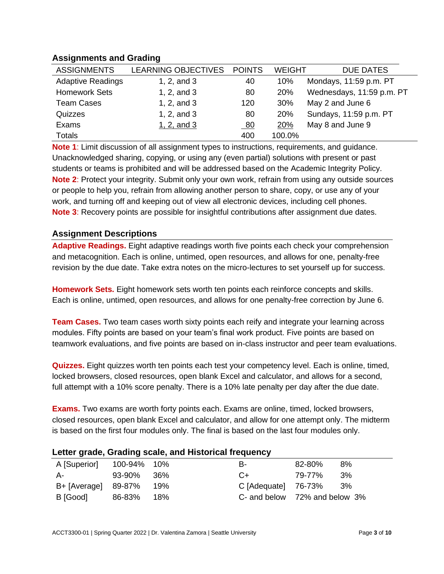# **Assignments and Grading**

| <b>ASSIGNMENTS</b>       | LEARNING OBJECTIVES | <b>POINTS</b> | <b>WEIGHT</b> | <b>DUE DATES</b>          |
|--------------------------|---------------------|---------------|---------------|---------------------------|
| <b>Adaptive Readings</b> | 1, $2$ , and $3$    | 40            | 10%           | Mondays, 11:59 p.m. PT    |
| <b>Homework Sets</b>     | 1, $2$ , and $3$    | 80            | 20%           | Wednesdays, 11:59 p.m. PT |
| <b>Team Cases</b>        | 1, $2$ , and $3$    | 120           | 30%           | May 2 and June 6          |
| Quizzes                  | 1, $2$ , and $3$    | 80            | 20%           | Sundays, 11:59 p.m. PT    |
| Exams                    | 1, $2$ , and $3$    | <u>80</u>     | 20%           | May 8 and June 9          |
| <b>Totals</b>            |                     | 400           | 100.0%        |                           |

**Note 1**: Limit discussion of all assignment types to instructions, requirements, and guidance. Unacknowledged sharing, copying, or using any (even partial) solutions with present or past students or teams is prohibited and will be addressed based on the Academic Integrity Policy. **Note 2**: Protect your integrity. Submit only your own work, refrain from using any outside sources or people to help you, refrain from allowing another person to share, copy, or use any of your work, and turning off and keeping out of view all electronic devices, including cell phones. **Note 3**: Recovery points are possible for insightful contributions after assignment due dates.

# **Assignment Descriptions**

**Adaptive Readings.** Eight adaptive readings worth five points each check your comprehension and metacognition. Each is online, untimed, open resources, and allows for one, penalty-free revision by the due date. Take extra notes on the micro-lectures to set yourself up for success.

**Homework Sets.** Eight homework sets worth ten points each reinforce concepts and skills. Each is online, untimed, open resources, and allows for one penalty-free correction by June 6.

**Team Cases.** Two team cases worth sixty points each reify and integrate your learning across modules. Fifty points are based on your team's final work product. Five points are based on teamwork evaluations, and five points are based on in-class instructor and peer team evaluations.

**Quizzes.** Eight quizzes worth ten points each test your competency level. Each is online, timed, locked browsers, closed resources, open blank Excel and calculator, and allows for a second, full attempt with a 10% score penalty. There is a 10% late penalty per day after the due date.

**Exams.** Two exams are worth forty points each. Exams are online, timed, locked browsers, closed resources, open blank Excel and calculator, and allow for one attempt only. The midterm is based on the first four modules only. The final is based on the last four modules only.

# **Letter grade, Grading scale, and Historical frequency**

| A [Superior]        | 100-94% 10% |       | в-                    | 8%<br>82-80%                  |
|---------------------|-------------|-------|-----------------------|-------------------------------|
| А-                  | 93-90%      | - 36% | $C+$                  | 3%<br>79-77%                  |
| B+ [Average] 89-87% |             | - 19% | $C$ [Adequate] 76-73% | - 3%                          |
| B [Good]            | 86-83%      | 18%   |                       | C- and below 72% and below 3% |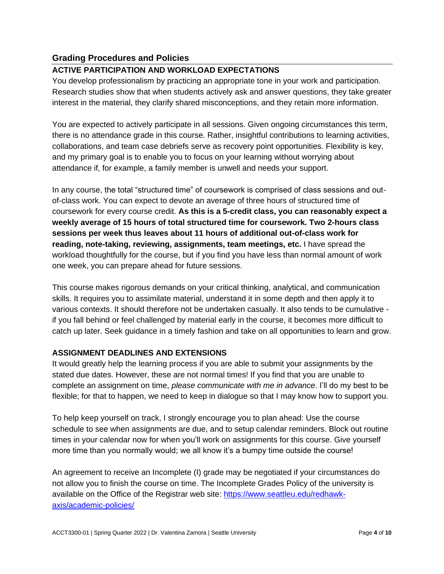# **Grading Procedures and Policies**

## **ACTIVE PARTICIPATION AND WORKLOAD EXPECTATIONS**

You develop professionalism by practicing an appropriate tone in your work and participation. Research studies show that when students actively ask and answer questions, they take greater interest in the material, they clarify shared misconceptions, and they retain more information.

You are expected to actively participate in all sessions. Given ongoing circumstances this term, there is no attendance grade in this course. Rather, insightful contributions to learning activities, collaborations, and team case debriefs serve as recovery point opportunities. Flexibility is key, and my primary goal is to enable you to focus on your learning without worrying about attendance if, for example, a family member is unwell and needs your support.

In any course, the total "structured time" of coursework is comprised of class sessions and outof-class work. You can expect to devote an average of three hours of structured time of coursework for every course credit. **As this is a 5-credit class, you can reasonably expect a weekly average of 15 hours of total structured time for coursework. Two 2-hours class sessions per week thus leaves about 11 hours of additional out-of-class work for reading, note-taking, reviewing, assignments, team meetings, etc.** I have spread the workload thoughtfully for the course, but if you find you have less than normal amount of work one week, you can prepare ahead for future sessions.

This course makes rigorous demands on your critical thinking, analytical, and communication skills. It requires you to assimilate material, understand it in some depth and then apply it to various contexts. It should therefore not be undertaken casually. It also tends to be cumulative if you fall behind or feel challenged by material early in the course, it becomes more difficult to catch up later. Seek guidance in a timely fashion and take on all opportunities to learn and grow.

## **ASSIGNMENT DEADLINES AND EXTENSIONS**

It would greatly help the learning process if you are able to submit your assignments by the stated due dates. However, these are not normal times! If you find that you are unable to complete an assignment on time, *please communicate with me in advance*. I'll do my best to be flexible; for that to happen, we need to keep in dialogue so that I may know how to support you.

To help keep yourself on track, I strongly encourage you to plan ahead: Use the course schedule to see when assignments are due, and to setup calendar reminders. Block out routine times in your calendar now for when you'll work on assignments for this course. Give yourself more time than you normally would; we all know it's a bumpy time outside the course!

An agreement to receive an Incomplete (I) grade may be negotiated if your circumstances do not allow you to finish the course on time. The Incomplete Grades Policy of the university is available on the Office of the Registrar web site: [https://www.seattleu.edu/redhawk](https://www.seattleu.edu/redhawk-axis/academic-policies/)[axis/academic-policies/](https://www.seattleu.edu/redhawk-axis/academic-policies/)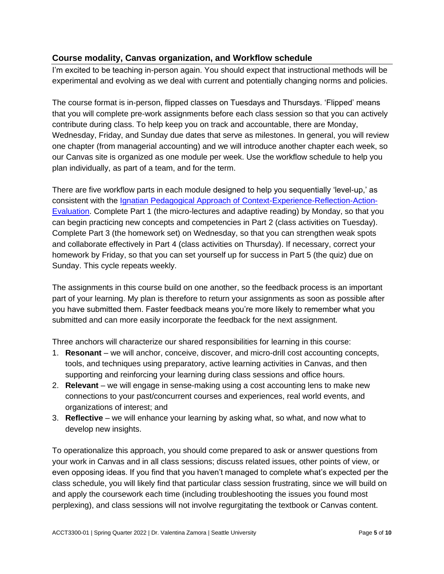# **Course modality, Canvas organization, and Workflow schedule**

I'm excited to be teaching in-person again. You should expect that instructional methods will be experimental and evolving as we deal with current and potentially changing norms and policies.

The course format is in-person, flipped classes on Tuesdays and Thursdays. 'Flipped' means that you will complete pre-work assignments before each class session so that you can actively contribute during class. To help keep you on track and accountable, there are Monday, Wednesday, Friday, and Sunday due dates that serve as milestones. In general, you will review one chapter (from managerial accounting) and we will introduce another chapter each week, so our Canvas site is organized as one module per week. Use the workflow schedule to help you plan individually, as part of a team, and for the term.

There are five workflow parts in each module designed to help you sequentially 'level-up,' as consistent with the [Ignatian Pedagogical Approach of Context-Experience-Reflection-Action-](https://www.seattleu.edu/media/university-core/files/Ignatian-Pedagogy.pdf)[Evaluation.](https://www.seattleu.edu/media/university-core/files/Ignatian-Pedagogy.pdf) Complete Part 1 (the micro-lectures and adaptive reading) by Monday, so that you can begin practicing new concepts and competencies in Part 2 (class activities on Tuesday). Complete Part 3 (the homework set) on Wednesday, so that you can strengthen weak spots and collaborate effectively in Part 4 (class activities on Thursday). If necessary, correct your homework by Friday, so that you can set yourself up for success in Part 5 (the quiz) due on Sunday. This cycle repeats weekly.

The assignments in this course build on one another, so the feedback process is an important part of your learning. My plan is therefore to return your assignments as soon as possible after you have submitted them. Faster feedback means you're more likely to remember what you submitted and can more easily incorporate the feedback for the next assignment.

Three anchors will characterize our shared responsibilities for learning in this course:

- 1. **Resonant** we will anchor, conceive, discover, and micro-drill cost accounting concepts, tools, and techniques using preparatory, active learning activities in Canvas, and then supporting and reinforcing your learning during class sessions and office hours.
- 2. **Relevant**  we will engage in sense-making using a cost accounting lens to make new connections to your past/concurrent courses and experiences, real world events, and organizations of interest; and
- 3. **Reflective** we will enhance your learning by asking what, so what, and now what to develop new insights.

To operationalize this approach, you should come prepared to ask or answer questions from your work in Canvas and in all class sessions; discuss related issues, other points of view, or even opposing ideas. If you find that you haven't managed to complete what's expected per the class schedule, you will likely find that particular class session frustrating, since we will build on and apply the coursework each time (including troubleshooting the issues you found most perplexing), and class sessions will not involve regurgitating the textbook or Canvas content.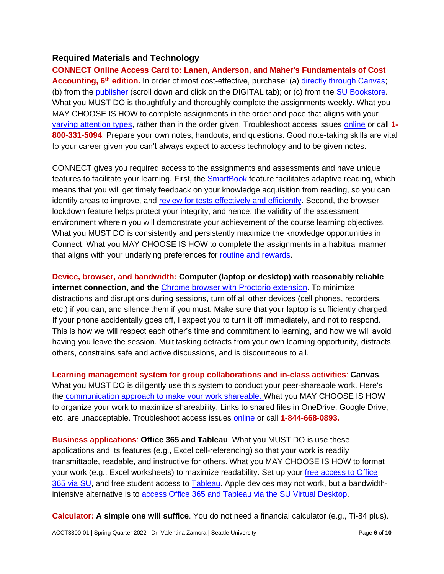## **Required Materials and Technology**

**CONNECT Online Access Card to: Lanen, Anderson, and Maher's Fundamentals of Cost**  Accounting, 6<sup>th</sup> edition. In order of most cost-effective, purchase: (a) [directly through Canvas;](https://video.mhhe.com/watch/4q72PpEpzkXAd3hW4o52c8) (b) from the [publisher](https://www.mheducation.com/highered/product/fundamentals-cost-accounting-lanen-anderson/M9781259969478.html) (scroll down and click on the DIGITAL tab); or (c) from the [SU Bookstore.](https://www.bkstr.com/seattleucampusstore/course-materials-results?shopBy=course&divisionDisplayName=&departmentDisplayName=ACCT&courseDisplayName=3300§ionDisplayName=01&programId=3771&termId=100072769) What you MUST DO is thoughtfully and thoroughly complete the assignments weekly. What you MAY CHOOSE IS HOW to complete assignments in the order and pace that aligns with your [varying attention types,](https://stevenberlinjohnson.com/your-attention-please-ab2f7586f68e) rather than in the order given. Troubleshoot access issues [online](https://mhedu.force.com/CXG/s/) or call **1- 800-331-5094**. Prepare your own notes, handouts, and questions. Good note-taking skills are vital to your career given you can't always expect to access technology and to be given notes.

CONNECT gives you required access to the assignments and assessments and have unique features to facilitate your learning. First, the **SmartBook** feature facilitates adaptive reading, which means that you will get timely feedback on your knowledge acquisition from reading, so you can identify areas to improve, and [review for tests effectively and efficiently.](https://www.youtube.com/watch?v=hqbY2tVNDeI&feature=emb_logo) Second, the browser lockdown feature helps protect your integrity, and hence, the validity of the assessment environment wherein you will demonstrate your achievement of the course learning objectives. What you MUST DO is consistently and persistently maximize the knowledge opportunities in Connect. What you MAY CHOOSE IS HOW to complete the assignments in a habitual manner that aligns with your underlying preferences for [routine and rewards.](https://charlesduhigg.com/how-habits-work/)

**Device, browser, and bandwidth: Computer (laptop or desktop) with reasonably reliable internet connection, and the** [Chrome browser with Proctorio extension.](https://mhedu.force.com/CXG/s/article/Waiting-for-connect-mheducation-com) To minimize distractions and disruptions during sessions, turn off all other devices (cell phones, recorders, etc.) if you can, and silence them if you must. Make sure that your laptop is sufficiently charged. If your phone accidentally goes off, I expect you to turn it off immediately, and not to respond. This is how we will respect each other's time and commitment to learning, and how we will avoid having you leave the session. Multitasking detracts from your own learning opportunity, distracts others, constrains safe and active discussions, and is discourteous to all.

**Learning management system for group collaborations and in-class activities**: **Canvas**. What you MUST DO is diligently use this system to conduct your peer-shareable work. Here's the [communication approach to make your work shareable.](https://seattleu.instructure.com/courses/1593108/pages/class-participation-and-discussions) What you MAY CHOOSE IS HOW to organize your work to maximize shareability. Links to shared files in OneDrive, Google Drive, etc. are unacceptable. Troubleshoot access issues [online](https://www.seattleu.edu/cdlihelp/students/canvas/) or call **1-844-668-0893.**

**Business applications**: **Office 365 and Tableau**. What you MUST DO is use these applications and its features (e.g., Excel cell-referencing) so that your work is readily transmittable, readable, and instructive for others. What you MAY CHOOSE IS HOW to format your work (e.g., Excel worksheets) to maximize readability. Set up your [free access to Office](https://www.seattleu.edu/its/support/guides/office-365/)  [365 via SU,](https://www.seattleu.edu/its/support/guides/office-365/) and free student access to [Tableau.](https://www.tableau.com/about/blog/2013/3/tableau-students-free-access-tableau-desktop-21617#:~:text=Through%20Tableau%20for%20Students%2C%20you,student%20attending%20an%20accredited%20school.) Apple devices may not work, but a bandwidthintensive alternative is to [access Office 365 and Tableau via the SU Virtual Desktop.](https://www.seattleu.edu/its/collab/virtual-desktop/)

**Calculator: A simple one will suffice**. You do not need a financial calculator (e.g., Ti-84 plus).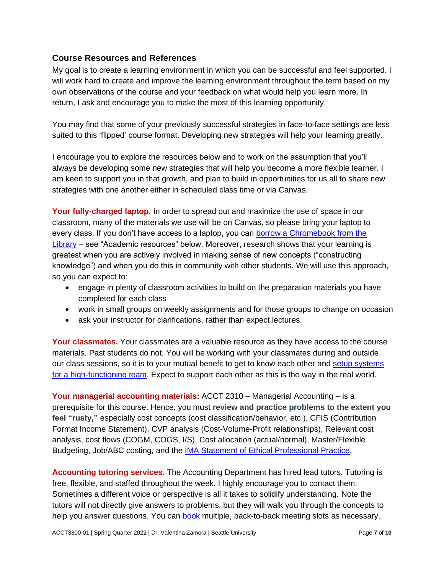# **Course Resources and References**

My goal is to create a learning environment in which you can be successful and feel supported. I will work hard to create and improve the learning environment throughout the term based on my own observations of the course and your feedback on what would help you learn more. In return, I ask and encourage you to make the most of this learning opportunity.

You may find that some of your previously successful strategies in face-to-face settings are less suited to this 'flipped' course format. Developing new strategies will help your learning greatly.

I encourage you to explore the resources below and to work on the assumption that you'll always be developing some new strategies that will help you become a more flexible learner. I am keen to support you in that growth, and plan to build in opportunities for us all to share new strategies with one another either in scheduled class time or via Canvas.

**Your fully-charged laptop.** In order to spread out and maximize the use of space in our classroom, many of the materials we use will be on Canvas, so please bring your laptop to every class. If you don't have access to a laptop, you can [borrow a Chromebook from the](https://libguides.seattleu.edu/technology)  [Library](https://libguides.seattleu.edu/technology) – see "Academic resources" below. Moreover, research shows that your learning is greatest when you are actively involved in making sense of new concepts ("constructing knowledge") and when you do this in community with other students. We will use this approach, so you can expect to:

- engage in plenty of classroom activities to build on the preparation materials you have completed for each class
- work in small groups on weekly assignments and for those groups to change on occasion
- ask your instructor for clarifications, rather than expect lectures.

**Your classmates.** Your classmates are a valuable resource as they have access to the course materials. Past students do not. You will be working with your classmates during and outside our class sessions, so it is to your mutual benefit to get to know each other and [setup systems](https://hbr.org/2016/06/the-secrets-of-great-teamwork)  [for a high-functioning team.](https://hbr.org/2016/06/the-secrets-of-great-teamwork) Expect to support each other as this is the way in the real world.

**Your managerial accounting materials:** ACCT 2310 – Managerial Accounting – is a prerequisite for this course. Hence, you must **review and practice problems to the extent you feel "rusty,"** especially cost concepts (cost classification/behavior, etc.), CFIS (Contribution Format Income Statement), CVP analysis (Cost-Volume-Profit relationships), Relevant cost analysis, cost flows (COGM, COGS, I/S), Cost allocation (actual/normal), Master/Flexible Budgeting, Job/ABC costing, and the [IMA Statement of Ethical Professional Practice.](https://www.imanet.org/-/media/b6fbeeb74d964e6c9fe654c48456e61f.ashx)

**Accounting tutoring services**: The Accounting Department has hired lead tutors. Tutoring is free, flexible, and staffed throughout the week. I highly encourage you to contact them. Sometimes a different voice or perspective is all it takes to solidify understanding. Note the tutors will not directly give answers to problems, but they will walk you through the concepts to help you answer questions. You can [book](https://outlook.office365.com/owa/calendar/AccountingLab1@redhawks.onmicrosoft.com/bookings/) multiple, back-to-back meeting slots as necessary.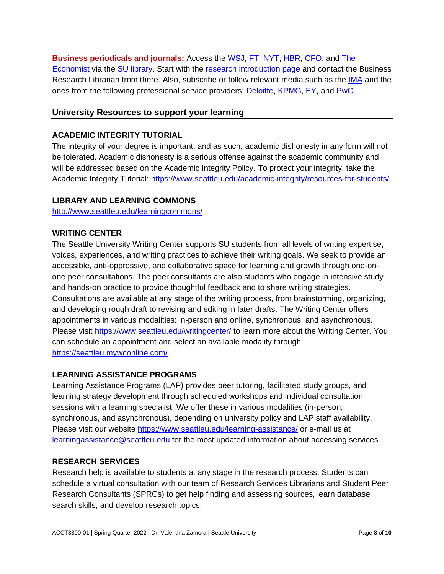**Business periodicals and journals:** Access the **WSJ, [FT,](https://primo.seattleu.edu/permalink/f/olv9iv/CP71186165710001451) [NYT,](https://primo.seattleu.edu/permalink/f/olv9iv/CP71226258600001451) [HBR,](https://primo.seattleu.edu/permalink/f/olv9iv/CP71185743750001451) CFO**, and The [Economist](https://primo.seattleu.edu/permalink/f/olv9iv/CP71185505580001451) via the [SU library](https://www.seattleu.edu/library/). Start with the [research introduction page](https://libguides.seattleu.edu/business) and contact the Business Research Librarian from there. Also, subscribe or follow relevant media such as the [IMA](https://www.imanet.org/?ssopc=1) and the ones from the following professional service providers: **Deloitte, [KPMG,](https://advisory.kpmg.us/insights/insights-for-your-role/cfo-real-insights.html) [EY,](https://www.ey.com/en_gl/cfo-agenda) and [PwC.](https://www.pwc.com/us/en/cfodirect.html)** 

#### **University Resources to support your learning**

#### **ACADEMIC INTEGRITY TUTORIAL**

The integrity of your degree is important, and as such, academic dishonesty in any form will not be tolerated. Academic dishonesty is a serious offense against the academic community and will be addressed based on the Academic Integrity Policy. To protect your integrity, take the Academic Integrity Tutorial:<https://www.seattleu.edu/academic-integrity/resources-for-students/>

#### **LIBRARY AND LEARNING COMMONS**

<http://www.seattleu.edu/learningcommons/>

#### **WRITING CENTER**

The Seattle University Writing Center supports SU students from all levels of writing expertise, voices, experiences, and writing practices to achieve their writing goals. We seek to provide an accessible, anti-oppressive, and collaborative space for learning and growth through one-onone peer consultations. The peer consultants are also students who engage in intensive study and hands-on practice to provide thoughtful feedback and to share writing strategies. Consultations are available at any stage of the writing process, from brainstorming, organizing, and developing rough draft to revising and editing in later drafts. The Writing Center offers appointments in various modalities: in-person and online, synchronous, and asynchronous. Please visit<https://www.seattleu.edu/writingcenter/> to learn more about the Writing Center. You can schedule an appointment and select an available modality through <https://seattleu.mywconline.com/>

#### **LEARNING ASSISTANCE PROGRAMS**

Learning Assistance Programs (LAP) provides peer tutoring, facilitated study groups, and learning strategy development through scheduled workshops and individual consultation sessions with a learning specialist. We offer these in various modalities (in-person, synchronous, and asynchronous), depending on university policy and LAP staff availability. Please visit our website [https://www.seattleu.edu/learning-assistance/](https://nam02.safelinks.protection.outlook.com/?url=https%3A%2F%2Fwww.seattleu.edu%2Flearning-assistance%2F&data=04%7C01%7Cgreend%40seattleu.edu%7Cccb4a901bb5b4376447608d947c219c3%7Cbc10e052b01c48499967ee7ec74fc9d8%7C0%7C0%7C637619721238086234%7CUnknown%7CTWFpbGZsb3d8eyJWIjoiMC4wLjAwMDAiLCJQIjoiV2luMzIiLCJBTiI6Ik1haWwiLCJXVCI6Mn0%3D%7C1000&sdata=RFLUu%2BD9%2BL1s0oeE3CqrYPpMwnOJZXIBKRFXFCvjhEc%3D&reserved=0) or e-mail us at [learningassistance@seattleu.edu](mailto:learningassistance@seattleu.edu) for the most updated information about accessing services.

#### **RESEARCH SERVICES**

Research help is available to students at any stage in the research process. Students can schedule a virtual consultation with our team of Research Services Librarians and Student Peer Research Consultants (SPRCs) to get help finding and assessing sources, learn database search skills, and develop research topics.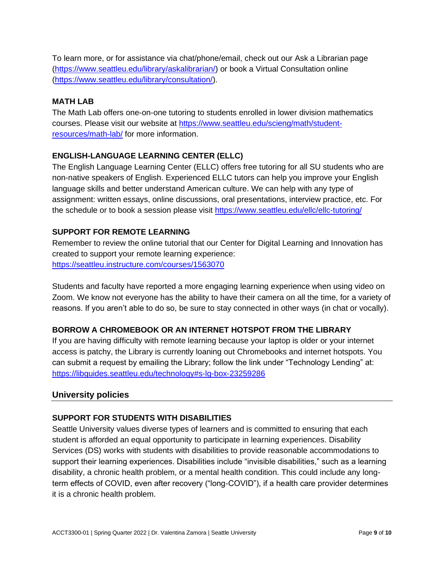To learn more, or for assistance via chat/phone/email, check out our Ask a Librarian page [\(https://www.seattleu.edu/library/askalibrarian/\)](https://nam02.safelinks.protection.outlook.com/?url=https%3A%2F%2Fwww.seattleu.edu%2Flibrary%2Faskalibrarian%2F&data=04%7C01%7Cgreend%40seattleu.edu%7Caf170627cc644517733608d987810488%7Cbc10e052b01c48499967ee7ec74fc9d8%7C0%7C0%7C637689810460609282%7CUnknown%7CTWFpbGZsb3d8eyJWIjoiMC4wLjAwMDAiLCJQIjoiV2luMzIiLCJBTiI6Ik1haWwiLCJXVCI6Mn0%3D%7C1000&sdata=3rJuro%2BhtMlVVPjhwojZgyh%2F7YW9rZpyLeZrvY5Jr5Y%3D&reserved=0) or book a Virtual Consultation online [\(https://www.seattleu.edu/library/consultation/\)](https://www.seattleu.edu/library/consultation/).

## **MATH LAB**

The Math Lab offers one-on-one tutoring to students enrolled in lower division mathematics courses. Please visit our website at [https://www.seattleu.edu/scieng/math/student](https://www.seattleu.edu/scieng/math/student-resources/math-lab/)[resources/math-lab/](https://www.seattleu.edu/scieng/math/student-resources/math-lab/) for more information.

## **ENGLISH-LANGUAGE LEARNING CENTER (ELLC)**

The English Language Learning Center (ELLC) offers free tutoring for all SU students who are non-native speakers of English. Experienced ELLC tutors can help you improve your English language skills and better understand American culture. We can help with any type of assignment: written essays, online discussions, oral presentations, interview practice, etc. For the schedule or to book a session please visit <https://www.seattleu.edu/ellc/ellc-tutoring/>

## **SUPPORT FOR REMOTE LEARNING**

Remember to review the online tutorial that our Center for Digital Learning and Innovation has created to support your remote learning experience: <https://seattleu.instructure.com/courses/1563070>

Students and faculty have reported a more engaging learning experience when using video on Zoom. We know not everyone has the ability to have their camera on all the time, for a variety of reasons. If you aren't able to do so, be sure to stay connected in other ways (in chat or vocally).

## **BORROW A CHROMEBOOK OR AN INTERNET HOTSPOT FROM THE LIBRARY**

If you are having difficulty with remote learning because your laptop is older or your internet access is patchy, the Library is currently loaning out Chromebooks and internet hotspots. You can submit a request by emailing the Library; follow the link under "Technology Lending" at: <https://libguides.seattleu.edu/technology#s-lg-box-23259286>

## **University policies**

#### **SUPPORT FOR STUDENTS WITH DISABILITIES**

Seattle University values diverse types of learners and is committed to ensuring that each student is afforded an equal opportunity to participate in learning experiences. Disability Services (DS) works with students with disabilities to provide reasonable accommodations to support their learning experiences. Disabilities include "invisible disabilities," such as a learning disability, a chronic health problem, or a mental health condition. This could include any longterm effects of COVID, even after recovery ("long-COVID"), if a health care provider determines it is a chronic health problem.